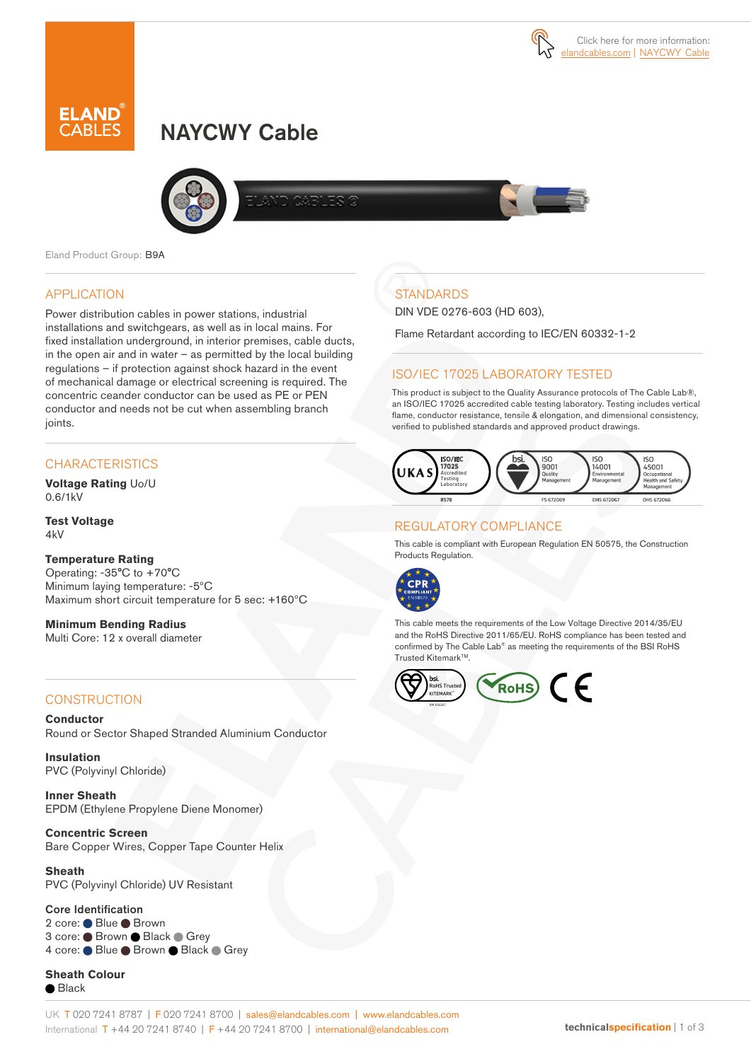# NAYCWY Cable



Eland Product Group: B9A

# APPLICATION

Power distribution cables in power stations, industrial installations and switchgears, as well as in local mains. For fixed installation underground, in interior premises, cable ducts, in the open air and in water  $-$  as permitted by the local building regulations – if protection against shock hazard in the event of mechanical damage or electrical screening is required. The concentric ceander conductor can be used as PE or PEN conductor and needs not be cut when assembling branch joints.

# **CHARACTERISTICS**

**Voltage Rating** Uo/U 0.6/1kV

**Test Voltage**  $4kV$ 

### **Temperature Rating**

Operating: -35°C to +70°C Minimum laying temperature: -5ºC Maximum short circuit temperature for 5 sec: +160ºC

**Minimum Bending Radius**  Multi Core: 12 x overall diameter

# **CONSTRUCTION**

**Conductor** Round or Sector Shaped Stranded Aluminium Conductor

**Insulation** PVC (Polyvinyl Chloride)

**Inner Sheath** EPDM (Ethylene Propylene Diene Monomer)

**Concentric Screen** Bare Copper Wires, Copper Tape Counter Helix

**Sheath** PVC (Polyvinyl Chloride) UV Resistant

#### Core Identification

2 core: ● Blue ● Brown 3 core: ● Brown ● Black ● Grey 4 core: Blue Brown Black Grey

**Sheath Colour** ● Black

# **STANDARDS**

DIN VDE 0276-603 (HD 603),

Flame Retardant according to IEC/EN 60332-1-2

# ISO/IEC 17025 LABORATORY TESTED

This product is subject to the Quality Assurance protocols of The Cable Lab®, an ISO/IEC 17025 accredited cable testing laboratory. Testing includes vertical flame, conductor resistance, tensile & elongation, and dimensional consistency, verified to published standards and approved product drawings.



# REGULATORY COMPLIANCE

This cable is compliant with European Regulation EN 50575, the Construction Products Regulation.



This cable meets the requirements of the Low Voltage Directive 2014/35/EU and the RoHS Directive 2011/65/EU. RoHS compliance has been tested and confirmed by The Cable Lab® as meeting the requirements of the BSI RoHS Trusted Kitemark<sup>™</sup>.

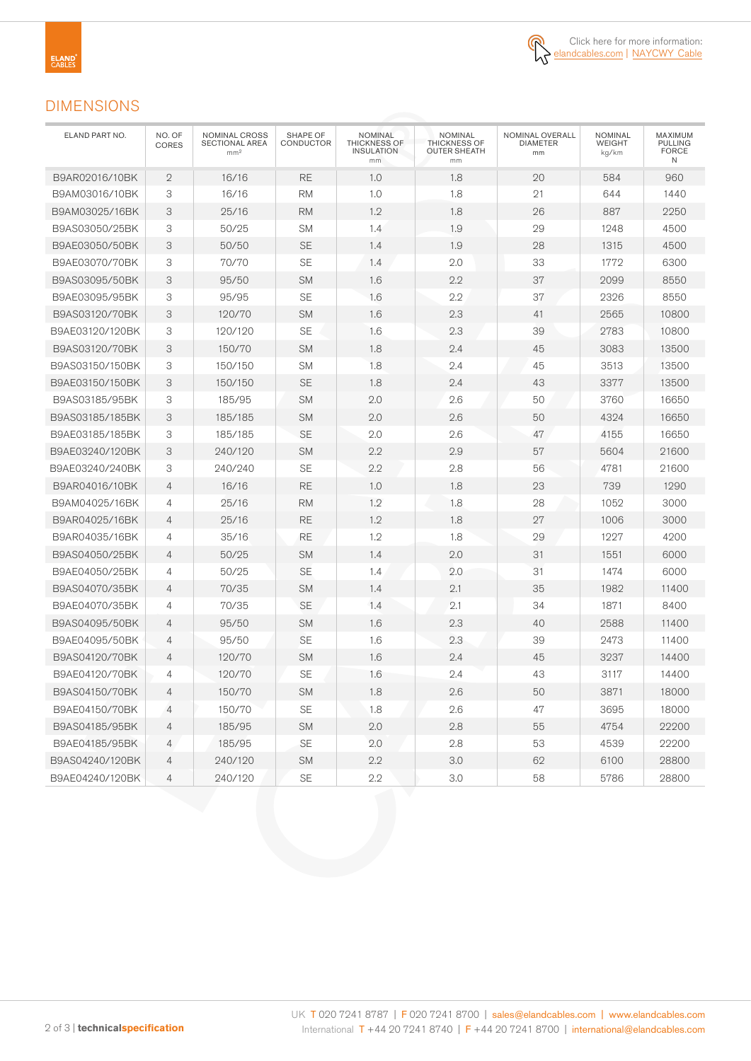

# DIMENSIONS

| ELAND PART NO.  | NO. OF<br>CORES | <b>NOMINAL CROSS</b><br><b>SECTIONAL AREA</b><br>mm <sup>2</sup> | SHAPE OF<br>CONDUCTOR | NOMINAL<br><b>THICKNESS OF</b><br><b>INSULATION</b><br>mm | <b>NOMINAL</b><br><b>THICKNESS OF</b><br>OUTER SHEATH<br>mm | NOMINAL OVERALL<br>DIAMETER<br>mm | <b>NOMINAL</b><br>WEIGHT<br>kg/km | MAXIMUM<br><b>PULLING</b><br><b>FORCE</b><br>Ν |
|-----------------|-----------------|------------------------------------------------------------------|-----------------------|-----------------------------------------------------------|-------------------------------------------------------------|-----------------------------------|-----------------------------------|------------------------------------------------|
| B9AR02016/10BK  | $\mathbf{2}$    | 16/16                                                            | <b>RE</b>             | 1.0                                                       | 1.8                                                         | 20                                | 584                               | 960                                            |
| B9AM03016/10BK  | 3               | 16/16                                                            | <b>RM</b>             | 1.0                                                       | 1.8                                                         | 21                                | 644                               | 1440                                           |
| B9AM03025/16BK  | 3               | 25/16                                                            | <b>RM</b>             | 1.2                                                       | 1.8                                                         | 26                                | 887                               | 2250                                           |
| B9AS03050/25BK  | 3               | 50/25                                                            | <b>SM</b>             | 1.4                                                       | 1.9                                                         | 29                                | 1248                              | 4500                                           |
| B9AE03050/50BK  | 3               | 50/50                                                            | <b>SE</b>             | 1.4                                                       | 1.9                                                         | 28                                | 1315                              | 4500                                           |
| B9AE03070/70BK  | 3               | 70/70                                                            | <b>SE</b>             | 1.4                                                       | 2.0                                                         | 33                                | 1772                              | 6300                                           |
| B9AS03095/50BK  | 3               | 95/50                                                            | <b>SM</b>             | 1.6                                                       | 2.2                                                         | 37                                | 2099                              | 8550                                           |
| B9AE03095/95BK  | 3               | 95/95                                                            | <b>SE</b>             | 1.6                                                       | 2.2                                                         | 37                                | 2326                              | 8550                                           |
| B9AS03120/70BK  | 3               | 120/70                                                           | <b>SM</b>             | 1.6                                                       | 2.3                                                         | 41                                | 2565                              | 10800                                          |
| B9AE03120/120BK | 3               | 120/120                                                          | <b>SE</b>             | 1.6                                                       | 2.3                                                         | 39                                | 2783                              | 10800                                          |
| B9AS03120/70BK  | 3               | 150/70                                                           | <b>SM</b>             | 1.8                                                       | 2.4                                                         | 45                                | 3083                              | 13500                                          |
| B9AS03150/150BK | 3               | 150/150                                                          | <b>SM</b>             | 1.8                                                       | 2.4                                                         | 45                                | 3513                              | 13500                                          |
| B9AE03150/150BK | 3               | 150/150                                                          | <b>SE</b>             | 1.8                                                       | 2.4                                                         | 43                                | 3377                              | 13500                                          |
| B9AS03185/95BK  | 3               | 185/95                                                           | <b>SM</b>             | 2.0                                                       | 2.6                                                         | 50                                | 3760                              | 16650                                          |
| B9AS03185/185BK | 3               | 185/185                                                          | <b>SM</b>             | 2.0                                                       | 2.6                                                         | 50                                | 4324                              | 16650                                          |
| B9AE03185/185BK | 3               | 185/185                                                          | <b>SE</b>             | 2.0                                                       | 2.6                                                         | 47                                | 4155                              | 16650                                          |
| B9AE03240/120BK | 3               | 240/120                                                          | <b>SM</b>             | 2.2                                                       | 2.9                                                         | 57                                | 5604                              | 21600                                          |
| B9AE03240/240BK | 3               | 240/240                                                          | <b>SE</b>             | 2.2                                                       | 2.8                                                         | 56                                | 4781                              | 21600                                          |
| B9AR04016/10BK  | $\overline{4}$  | 16/16                                                            | <b>RE</b>             | 1.0                                                       | 1.8                                                         | 23                                | 739                               | 1290                                           |
| B9AM04025/16BK  | $\overline{4}$  | 25/16                                                            | <b>RM</b>             | 1.2                                                       | 1.8                                                         | 28                                | 1052                              | 3000                                           |
| B9AR04025/16BK  | $\overline{4}$  | 25/16                                                            | RE                    | 1.2                                                       | 1.8                                                         | 27                                | 1006                              | 3000                                           |
| B9AR04035/16BK  | $\overline{4}$  | 35/16                                                            | <b>RE</b>             | 1.2                                                       | 1.8                                                         | 29                                | 1227                              | 4200                                           |
| B9AS04050/25BK  | $\overline{4}$  | 50/25                                                            | <b>SM</b>             | 1.4                                                       | 2.0                                                         | 31                                | 1551                              | 6000                                           |
| B9AE04050/25BK  | $\overline{4}$  | 50/25                                                            | <b>SE</b>             | 1.4                                                       | 2.0                                                         | 31                                | 1474                              | 6000                                           |
| B9AS04070/35BK  | $\overline{4}$  | 70/35                                                            | <b>SM</b>             | 1.4                                                       | 2.1                                                         | 35                                | 1982                              | 11400                                          |
| B9AE04070/35BK  | 4               | 70/35                                                            | <b>SE</b>             | 1.4                                                       | 2.1                                                         | 34                                | 1871                              | 8400                                           |
| B9AS04095/50BK  | $\overline{4}$  | 95/50                                                            | <b>SM</b>             | 1.6                                                       | 2.3                                                         | 40                                | 2588                              | 11400                                          |
| B9AE04095/50BK  | $\overline{4}$  | 95/50                                                            | <b>SE</b>             | 1.6                                                       | 2.3                                                         | 39                                | 2473                              | 11400                                          |
| B9AS04120/70BK  | $\overline{4}$  | 120/70                                                           | <b>SM</b>             | 1.6                                                       | 2.4                                                         | 45                                | 3237                              | 14400                                          |
| B9AE04120/70BK  | 4               | 120/70                                                           | <b>SE</b>             | 1.6                                                       | 2.4                                                         | 43                                | 3117                              | 14400                                          |
| B9AS04150/70BK  | $\overline{4}$  | 150/70                                                           | ${\sf SM}$            | $1.8\,$                                                   | 2.6                                                         | 50                                | 3871                              | 18000                                          |
| B9AE04150/70BK  | 4               | 150/70                                                           | SE                    | 1.8                                                       | 2.6                                                         | 47                                | 3695                              | 18000                                          |
| B9AS04185/95BK  | 4               | 185/95                                                           | SM                    | 2.0                                                       | 2.8                                                         | 55                                | 4754                              | 22200                                          |
| B9AE04185/95BK  | 4               | 185/95                                                           | SE                    | 2.0                                                       | 2.8                                                         | 53                                | 4539                              | 22200                                          |
| B9AS04240/120BK | 4               | 240/120                                                          | <b>SM</b>             | 2.2                                                       | 3.0                                                         | 62                                | 6100                              | 28800                                          |
| B9AE04240/120BK | 4               | 240/120                                                          | $\mathsf{SE}$         | $2.2\,$                                                   | $3.0\,$                                                     | 58                                | 5786                              | 28800                                          |